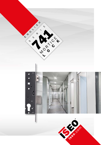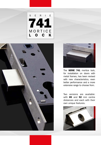





The **SERIE 741** mortice lock, for installation on doors with metal frames, has been revised with new characteristics, even better performance and a more extensive range to choose from.

Two versions are available: with 85 and 92 mm centre distances and each with their own unique features.

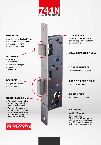

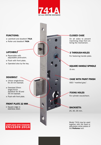

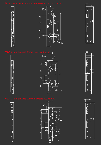## **741N** Centre distance 85mm. Backsets 20, 25, 3













## $\frac{1}{4}$  14  $\frac{1}{2}$  16  $\frac{1}{4}$ 10 10  $\frac{210}{238}$ 9<br>|<br>|<br>|  $\odot$ -@

22